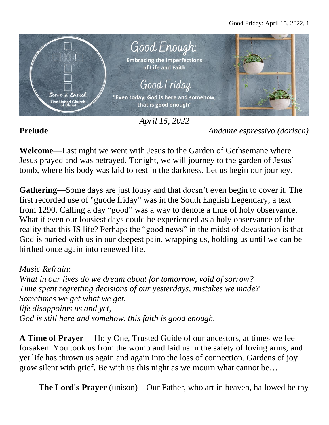

*April 15, 2022*

**Prelude** *Andante espressivo (dorisch)*

**Welcome**—Last night we went with Jesus to the Garden of Gethsemane where Jesus prayed and was betrayed. Tonight, we will journey to the garden of Jesus' tomb, where his body was laid to rest in the darkness. Let us begin our journey.

**Gathering—**Some days are just lousy and that doesn't even begin to cover it. The first recorded use of "guode friday" was in the South English Legendary, a text from 1290. Calling a day "good" was a way to denote a time of holy observance. What if even our lousiest days could be experienced as a holy observance of the reality that this IS life? Perhaps the "good news" in the midst of devastation is that God is buried with us in our deepest pain, wrapping us, holding us until we can be birthed once again into renewed life.

*Music Refrain: What in our lives do we dream about for tomorrow, void of sorrow? Time spent regretting decisions of our yesterdays, mistakes we made? Sometimes we get what we get, life disappoints us and yet, God is still here and somehow, this faith is good enough.*

**A Time of Prayer—** Holy One, Trusted Guide of our ancestors, at times we feel forsaken. You took us from the womb and laid us in the safety of loving arms, and yet life has thrown us again and again into the loss of connection. Gardens of joy grow silent with grief. Be with us this night as we mourn what cannot be…

**The Lord's Prayer** (unison)—Our Father, who art in heaven, hallowed be thy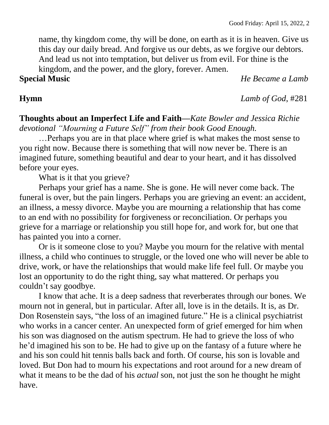name, thy kingdom come, thy will be done, on earth as it is in heaven. Give us this day our daily bread. And forgive us our debts, as we forgive our debtors. And lead us not into temptation, but deliver us from evil. For thine is the kingdom, and the power, and the glory, forever. Amen.

**Special Music** *He Became a Lamb*

**Hymn** *Lamb of God*, #281

# **Thoughts about an Imperfect Life and Faith—***Kate Bowler and Jessica Richie devotional "Mourning a Future Self" from their book Good Enough.*

…Perhaps you are in that place where grief is what makes the most sense to you right now. Because there is something that will now never be. There is an imagined future, something beautiful and dear to your heart, and it has dissolved before your eyes.

What is it that you grieve?

Perhaps your grief has a name. She is gone. He will never come back. The funeral is over, but the pain lingers. Perhaps you are grieving an event: an accident, an illness, a messy divorce. Maybe you are mourning a relationship that has come to an end with no possibility for forgiveness or reconciliation. Or perhaps you grieve for a marriage or relationship you still hope for, and work for, but one that has painted you into a corner.

Or is it someone close to you? Maybe you mourn for the relative with mental illness, a child who continues to struggle, or the loved one who will never be able to drive, work, or have the relationships that would make life feel full. Or maybe you lost an opportunity to do the right thing, say what mattered. Or perhaps you couldn't say goodbye.

I know that ache. It is a deep sadness that reverberates through our bones. We mourn not in general, but in particular. After all, love is in the details. It is, as Dr. Don Rosenstein says, "the loss of an imagined future." He is a clinical psychiatrist who works in a cancer center. An unexpected form of grief emerged for him when his son was diagnosed on the autism spectrum. He had to grieve the loss of who he'd imagined his son to be. He had to give up on the fantasy of a future where he and his son could hit tennis balls back and forth. Of course, his son is lovable and loved. But Don had to mourn his expectations and root around for a new dream of what it means to be the dad of his *actual* son, not just the son he thought he might have.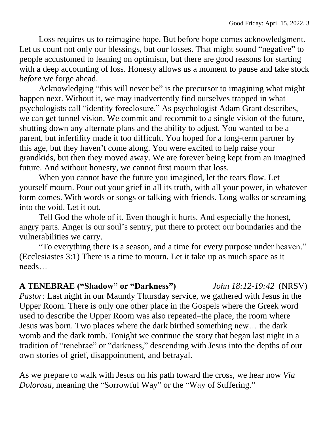Loss requires us to reimagine hope. But before hope comes acknowledgment. Let us count not only our blessings, but our losses. That might sound "negative" to people accustomed to leaning on optimism, but there are good reasons for starting with a deep accounting of loss. Honesty allows us a moment to pause and take stock *before* we forge ahead.

Acknowledging "this will never be" is the precursor to imagining what might happen next. Without it, we may inadvertently find ourselves trapped in what psychologists call "identity foreclosure." As psychologist Adam Grant describes, we can get tunnel vision. We commit and recommit to a single vision of the future, shutting down any alternate plans and the ability to adjust. You wanted to be a parent, but infertility made it too difficult. You hoped for a long-term partner by this age, but they haven't come along. You were excited to help raise your grandkids, but then they moved away. We are forever being kept from an imagined future. And without honesty, we cannot first mourn that loss.

When you cannot have the future you imagined, let the tears flow. Let yourself mourn. Pour out your grief in all its truth, with all your power, in whatever form comes. With words or songs or talking with friends. Long walks or screaming into the void. Let it out.

Tell God the whole of it. Even though it hurts. And especially the honest, angry parts. Anger is our soul's sentry, put there to protect our boundaries and the vulnerabilities we carry.

"To everything there is a season, and a time for every purpose under heaven." (Ecclesiastes 3:1) There is a time to mourn. Let it take up as much space as it needs…

**A TENEBRAE ("Shadow" or "Darkness")** *John 18:12-19:42* (NRSV) *Pastor:* Last night in our Maundy Thursday service, we gathered with Jesus in the Upper Room. There is only one other place in the Gospels where the Greek word used to describe the Upper Room was also repeated–the place, the room where Jesus was born. Two places where the dark birthed something new… the dark womb and the dark tomb. Tonight we continue the story that began last night in a tradition of "tenebrae" or "darkness," descending with Jesus into the depths of our own stories of grief, disappointment, and betrayal.

As we prepare to walk with Jesus on his path toward the cross, we hear now *Via Dolorosa*, meaning the "Sorrowful Way" or the "Way of Suffering."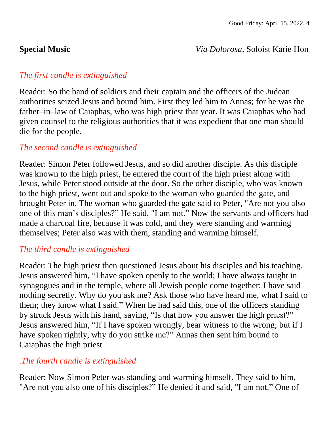**Special Music** *Via Dolorosa,* Soloist Karie Hon

# *The first candle is extinguished*

Reader: So the band of soldiers and their captain and the officers of the Judean authorities seized Jesus and bound him. First they led him to Annas; for he was the father–in–law of Caiaphas, who was high priest that year. It was Caiaphas who had given counsel to the religious authorities that it was expedient that one man should die for the people.

# *The second candle is extinguished*

Reader: Simon Peter followed Jesus, and so did another disciple. As this disciple was known to the high priest, he entered the court of the high priest along with Jesus, while Peter stood outside at the door. So the other disciple, who was known to the high priest, went out and spoke to the woman who guarded the gate, and brought Peter in. The woman who guarded the gate said to Peter, "Are not you also one of this man's disciples?" He said, "I am not." Now the servants and officers had made a charcoal fire, because it was cold, and they were standing and warming themselves; Peter also was with them, standing and warming himself.

# *The third candle is extinguished*

Reader: The high priest then questioned Jesus about his disciples and his teaching. Jesus answered him, "I have spoken openly to the world; I have always taught in synagogues and in the temple, where all Jewish people come together; I have said nothing secretly. Why do you ask me? Ask those who have heard me, what I said to them; they know what I said." When he had said this, one of the officers standing by struck Jesus with his hand, saying, "Is that how you answer the high priest?" Jesus answered him, "If I have spoken wrongly, bear witness to the wrong; but if I have spoken rightly, why do you strike me?" Annas then sent him bound to Caiaphas the high priest

# *.The fourth candle is extinguished*

Reader: Now Simon Peter was standing and warming himself. They said to him, "Are not you also one of his disciples?" He denied it and said, "I am not." One of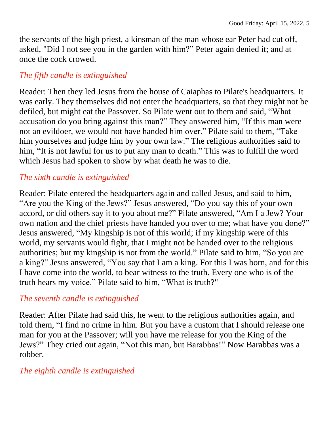the servants of the high priest, a kinsman of the man whose ear Peter had cut off, asked, "Did I not see you in the garden with him?" Peter again denied it; and at once the cock crowed.

# *The fifth candle is extinguished*

Reader: Then they led Jesus from the house of Caiaphas to Pilate's headquarters. It was early. They themselves did not enter the headquarters, so that they might not be defiled, but might eat the Passover. So Pilate went out to them and said, "What accusation do you bring against this man?" They answered him, "If this man were not an evildoer, we would not have handed him over." Pilate said to them, "Take him yourselves and judge him by your own law." The religious authorities said to him, "It is not lawful for us to put any man to death." This was to fulfill the word which Jesus had spoken to show by what death he was to die.

# *The sixth candle is extinguished*

Reader: Pilate entered the headquarters again and called Jesus, and said to him, "Are you the King of the Jews?" Jesus answered, "Do you say this of your own accord, or did others say it to you about me?" Pilate answered, "Am I a Jew? Your own nation and the chief priests have handed you over to me; what have you done?" Jesus answered, "My kingship is not of this world; if my kingship were of this world, my servants would fight, that I might not be handed over to the religious authorities; but my kingship is not from the world." Pilate said to him, "So you are a king?" Jesus answered, "You say that I am a king. For this I was born, and for this I have come into the world, to bear witness to the truth. Every one who is of the truth hears my voice." Pilate said to him, "What is truth?"

### *The seventh candle is extinguished*

Reader: After Pilate had said this, he went to the religious authorities again, and told them, "I find no crime in him. But you have a custom that I should release one man for you at the Passover; will you have me release for you the King of the Jews?" They cried out again, "Not this man, but Barabbas!" Now Barabbas was a robber.

#### *The eighth candle is extinguished*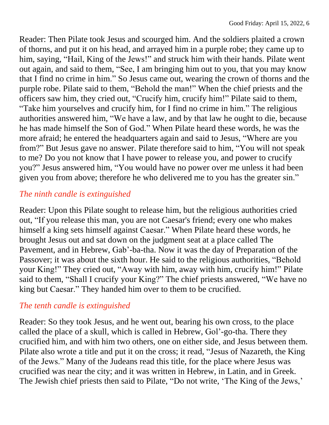Reader: Then Pilate took Jesus and scourged him. And the soldiers plaited a crown of thorns, and put it on his head, and arrayed him in a purple robe; they came up to him, saying, "Hail, King of the Jews!" and struck him with their hands. Pilate went out again, and said to them, "See, I am bringing him out to you, that you may know that I find no crime in him." So Jesus came out, wearing the crown of thorns and the purple robe. Pilate said to them, "Behold the man!" When the chief priests and the officers saw him, they cried out, "Crucify him, crucify him!" Pilate said to them, "Take him yourselves and crucify him, for I find no crime in him." The religious authorities answered him, "We have a law, and by that law he ought to die, because he has made himself the Son of God." When Pilate heard these words, he was the more afraid; he entered the headquarters again and said to Jesus, "Where are you from?" But Jesus gave no answer. Pilate therefore said to him, "You will not speak to me? Do you not know that I have power to release you, and power to crucify you?" Jesus answered him, "You would have no power over me unless it had been given you from above; therefore he who delivered me to you has the greater sin."

# *The ninth candle is extinguished*

Reader: Upon this Pilate sought to release him, but the religious authorities cried out, "If you release this man, you are not Caesar's friend; every one who makes himself a king sets himself against Caesar." When Pilate heard these words, he brought Jesus out and sat down on the judgment seat at a place called The Pavement, and in Hebrew, Gab'-ba-tha. Now it was the day of Preparation of the Passover; it was about the sixth hour. He said to the religious authorities, "Behold your King!" They cried out, "Away with him, away with him, crucify him!" Pilate said to them, "Shall I crucify your King?" The chief priests answered, "We have no king but Caesar." They handed him over to them to be crucified.

### *The tenth candle is extinguished*

Reader: So they took Jesus, and he went out, bearing his own cross, to the place called the place of a skull, which is called in Hebrew, Gol'-go-tha. There they crucified him, and with him two others, one on either side, and Jesus between them. Pilate also wrote a title and put it on the cross; it read, "Jesus of Nazareth, the King of the Jews." Many of the Judeans read this title, for the place where Jesus was crucified was near the city; and it was written in Hebrew, in Latin, and in Greek. The Jewish chief priests then said to Pilate, "Do not write, 'The King of the Jews,'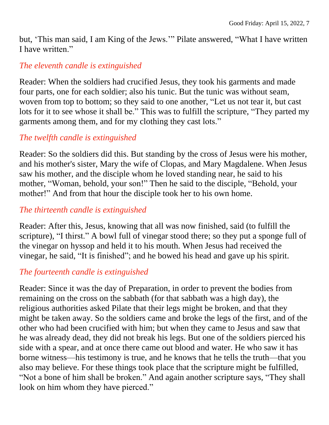but, 'This man said, I am King of the Jews.'" Pilate answered, "What I have written I have written."

### *The eleventh candle is extinguished*

Reader: When the soldiers had crucified Jesus, they took his garments and made four parts, one for each soldier; also his tunic. But the tunic was without seam, woven from top to bottom; so they said to one another, "Let us not tear it, but cast lots for it to see whose it shall be." This was to fulfill the scripture, "They parted my garments among them, and for my clothing they cast lots."

### *The twelfth candle is extinguished*

Reader: So the soldiers did this. But standing by the cross of Jesus were his mother, and his mother's sister, Mary the wife of Clopas, and Mary Magdalene. When Jesus saw his mother, and the disciple whom he loved standing near, he said to his mother, "Woman, behold, your son!" Then he said to the disciple, "Behold, your mother!" And from that hour the disciple took her to his own home.

# *The thirteenth candle is extinguished*

Reader: After this, Jesus, knowing that all was now finished, said (to fulfill the scripture), "I thirst." A bowl full of vinegar stood there; so they put a sponge full of the vinegar on hyssop and held it to his mouth. When Jesus had received the vinegar, he said, "It is finished"; and he bowed his head and gave up his spirit.

### *The fourteenth candle is extinguished*

Reader: Since it was the day of Preparation, in order to prevent the bodies from remaining on the cross on the sabbath (for that sabbath was a high day), the religious authorities asked Pilate that their legs might be broken, and that they might be taken away. So the soldiers came and broke the legs of the first, and of the other who had been crucified with him; but when they came to Jesus and saw that he was already dead, they did not break his legs. But one of the soldiers pierced his side with a spear, and at once there came out blood and water. He who saw it has borne witness—his testimony is true, and he knows that he tells the truth—that you also may believe. For these things took place that the scripture might be fulfilled, "Not a bone of him shall be broken." And again another scripture says, "They shall look on him whom they have pierced."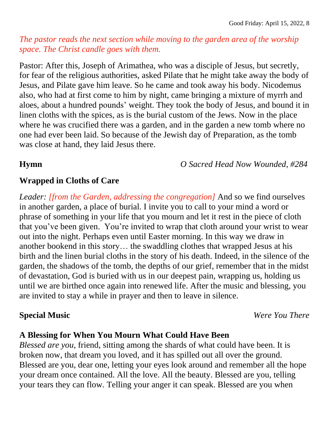#### *The pastor reads the next section while moving to the garden area of the worship space. The Christ candle goes with them.*

Pastor: After this, Joseph of Arimathea, who was a disciple of Jesus, but secretly, for fear of the religious authorities, asked Pilate that he might take away the body of Jesus, and Pilate gave him leave. So he came and took away his body. Nicodemus also, who had at first come to him by night, came bringing a mixture of myrrh and aloes, about a hundred pounds' weight. They took the body of Jesus, and bound it in linen cloths with the spices, as is the burial custom of the Jews. Now in the place where he was crucified there was a garden, and in the garden a new tomb where no one had ever been laid. So because of the Jewish day of Preparation, as the tomb was close at hand, they laid Jesus there.

**Hymn** *O Sacred Head Now Wounded, #284*

# **Wrapped in Cloths of Care**

*Leader: [from the Garden, addressing the congregation]* And so we find ourselves in another garden, a place of burial. I invite you to call to your mind a word or phrase of something in your life that you mourn and let it rest in the piece of cloth that you've been given. You're invited to wrap that cloth around your wrist to wear out into the night. Perhaps even until Easter morning. In this way we draw in another bookend in this story… the swaddling clothes that wrapped Jesus at his birth and the linen burial cloths in the story of his death. Indeed, in the silence of the garden, the shadows of the tomb, the depths of our grief, remember that in the midst of devastation, God is buried with us in our deepest pain, wrapping us, holding us until we are birthed once again into renewed life. After the music and blessing, you are invited to stay a while in prayer and then to leave in silence.

**Special Music** *Were You There*

### **A Blessing for When You Mourn What Could Have Been**

*Blessed are you,* friend, sitting among the shards of what could have been. It is broken now, that dream you loved, and it has spilled out all over the ground. Blessed are you, dear one, letting your eyes look around and remember all the hope your dream once contained. All the love. All the beauty. Blessed are you, telling your tears they can flow. Telling your anger it can speak. Blessed are you when